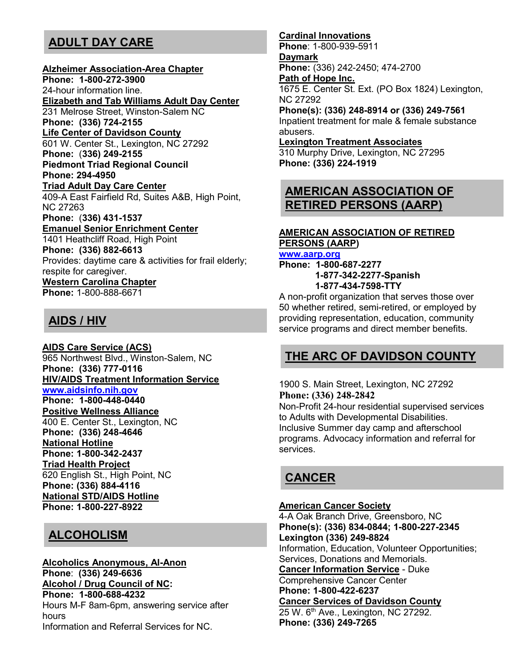## **ADULT DAY CARE**

#### **Alzheimer Association-Area Chapter**

**Phone: 1-800-272-3900** 24-hour information line. **Elizabeth and Tab Williams Adult Day Center** 231 Melrose Street, Winston-Salem NC **Phone: (336) 724-2155 Life Center of Davidson County** 601 W. Center St., Lexington, NC 27292 **Phone:** (**336) 249-2155 Piedmont Triad Regional Council Phone: 294-4950 Triad Adult Day Care Center** 409-A East Fairfield Rd, Suites A&B, High Point, NC 27263 **Phone:** (**336) 431-1537 Emanuel Senior Enrichment Center** 1401 Heathcliff Road, High Point **Phone: (336) 882-6613** Provides: daytime care & activities for frail elderly; respite for caregiver. **Western Carolina Chapter Phone:** 1-800-888-6671

## **AIDS / HIV**

**AIDS Care Service (ACS)** 965 Northwest Blvd., Winston-Salem, NC **Phone: (336) 777-0116 HIV/AIDS Treatment Information Service www.aidsinfo.nih.gov Phone: 1-800-448-0440 Positive Wellness Alliance** 400 E. Center St., Lexington, NC **Phone: (336) 248-4646 National Hotline Phone: 1-800-342-2437 Triad Health Project** 620 English St., High Point, NC **Phone: (336) 884-4116 National STD/AIDS Hotline Phone: 1-800-227-8922**

## **ALCOHOLISM**

#### **Alcoholics Anonymous, Al-Anon Phone**: **(336) 249-6636 Alcohol / Drug Council of NC: Phone: 1-800-688-4232** Hours M-F 8am-6pm, answering service after hours Information and Referral Services for NC.

#### **Cardinal Innovations**

**Phone**: 1-800-939-5911 **Daymark Phone:** (336) 242-2450; 474-2700 **Path of Hope Inc.** 1675 E. Center St. Ext. (PO Box 1824) Lexington, NC 27292 **Phone(s): (336) 248-8914 or (336) 249-7561**

Inpatient treatment for male & female substance abusers.

#### **Lexington Treatment Associates**

310 Murphy Drive, Lexington, NC 27295 **Phone: (336) 224-1919**

## **AMERICAN ASSOCIATION OF RETIRED PERSONS (AARP)**

### **AMERICAN ASSOCIATION OF RETIRED PERSONS (AARP)**

**www.aarp.org**

**Phone: 1-800-687-2277 1-877-342-2277-Spanish 1-877-434-7598-TTY**

A non-profit organization that serves those over 50 whether retired, semi-retired, or employed by providing representation, education, community service programs and direct member benefits.

## **THE ARC OF DAVIDSON COUNTY**

1900 S. Main Street, Lexington, NC 27292 **Phone: (336) 248-2842**

Non-Profit 24-hour residential supervised services to Adults with Developmental Disabilities. Inclusive Summer day camp and afterschool programs. Advocacy information and referral for services.

## **CANCER**

### **American Cancer Society**

4-A Oak Branch Drive, Greensboro, NC **Phone(s): (336) 834-0844; 1-800-227-2345 Lexington (336) 249-8824** Information, Education, Volunteer Opportunities; Services, Donations and Memorials. **Cancer Information Service** - Duke Comprehensive Cancer Center **Phone: 1-800-422-6237 Cancer Services of Davidson County** 25 W. 6<sup>th</sup> Ave., Lexington, NC 27292. **Phone: (336) 249-7265**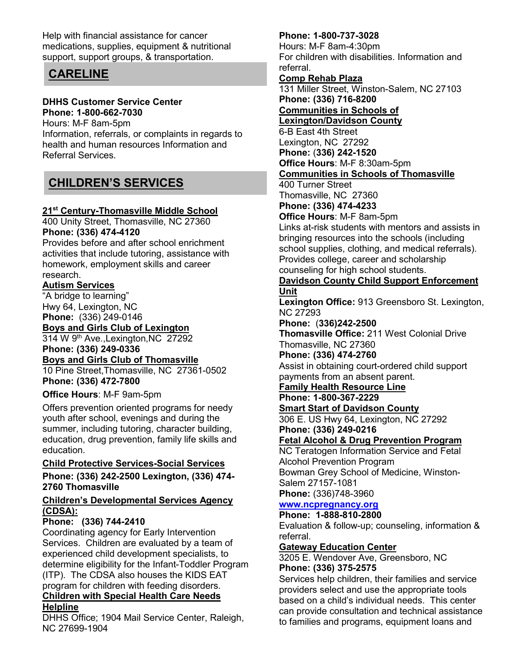Help with financial assistance for cancer medications, supplies, equipment & nutritional support, support groups, & transportation.

## **CARELINE**

### **DHHS Customer Service Center Phone: 1-800-662-7030**

Hours: M-F 8am-5pm Information, referrals, or complaints in regards to health and human resources Information and Referral Services.

## **CHILDREN'S SERVICES**

### **21st Century-Thomasville Middle School**

400 Unity Street, Thomasville, NC 27360 **Phone: (336) 474-4120**

Provides before and after school enrichment activities that include tutoring, assistance with homework, employment skills and career research.

### **Autism Services**

"A bridge to learning" Hwy 64, Lexington, NC **Phone:** (336) 249-0146

**Boys and Girls Club of Lexington**

314 W 9th Ave.,Lexington,NC 27292 **Phone: (336) 249-0336**

## **Boys and Girls Club of Thomasville**

10 Pine Street,Thomasville, NC 27361-0502 **Phone: (336) 472-7800**

### **Office Hours**: M-F 9am-5pm

Offers prevention oriented programs for needy youth after school, evenings and during the summer, including tutoring, character building, education, drug prevention, family life skills and education.

### **Child Protective Services-Social Services**

**Phone: (336) 242-2500 Lexington, (336) 474- 2760 Thomasville**

### **Children's Developmental Services Agency (CDSA):**

### **Phone: (336) 744-2410**

Coordinating agency for Early Intervention Services. Children are evaluated by a team of experienced child development specialists, to determine eligibility for the Infant-Toddler Program (ITP). The CDSA also houses the KIDS EAT program for children with feeding disorders. **Children with Special Health Care Needs** 

## **Helpline**

DHHS Office; 1904 Mail Service Center, Raleigh, NC 27699-1904

### **Phone: 1-800-737-3028**

Hours: M-F 8am-4:30pm For children with disabilities. Information and referral.

### **Comp Rehab Plaza**

131 Miller Street, Winston-Salem, NC 27103 **Phone: (336) 716-8200 Communities in Schools of** 

**Lexington/Davidson County**

6-B East 4th Street Lexington, NC 27292

**Phone:** (**336) 242-1520 Office Hours**: M-F 8:30am-5pm

### **Communities in Schools of Thomasville**

400 Turner Street Thomasville, NC 27360 **Phone: (336) 474-4233**

**Office Hours**: M-F 8am-5pm

Links at-risk students with mentors and assists in bringing resources into the schools (including school supplies, clothing, and medical referrals). Provides college, career and scholarship counseling for high school students.

#### **Davidson County Child Support Enforcement Unit**

**Lexington Office:** 913 Greensboro St. Lexington, NC 27293

**Phone:** (**336)242-2500**

**Thomasville Office:** 211 West Colonial Drive Thomasville, NC 27360

**Phone: (336) 474-2760**

Assist in obtaining court-ordered child support payments from an absent parent.

**Family Health Resource Line**

**Phone: 1-800-367-2229**

### **Smart Start of Davidson County**

306 E. US Hwy 64, Lexington, NC 27292 **Phone: (336) 249-0216**

### **Fetal Alcohol & Drug Prevention Program**

NC Teratogen Information Service and Fetal Alcohol Prevention Program Bowman Grey School of Medicine, Winston-Salem 27157-1081

**Phone:** (336)748-3960

#### **www.ncpregnancy.org Phone: 1-888-810-2800**

Evaluation & follow-up; counseling, information & referral.

### **Gateway Education Center**

3205 E. Wendover Ave, Greensboro, NC **Phone: (336) 375-2575**

Services help children, their families and service providers select and use the appropriate tools based on a child's individual needs. This center can provide consultation and technical assistance to families and programs, equipment loans and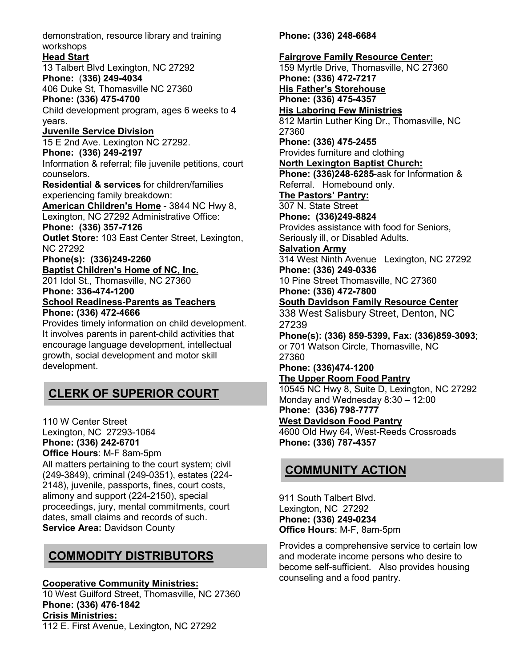demonstration, resource library and training workshops

### **Head Start**

13 Talbert Blvd Lexington, NC 27292 **Phone:** (**336) 249-4034**

406 Duke St, Thomasville NC 27360

### **Phone: (336) 475-4700**

Child development program, ages 6 weeks to 4 years.

### **Juvenile Service Division**

15 E 2nd Ave. Lexington NC 27292.

### **Phone: (336) 249-2197**

Information & referral; file juvenile petitions, court counselors.

**Residential & services** for children/families experiencing family breakdown:

**American Children's Home** - 3844 NC Hwy 8, Lexington, NC 27292 Administrative Office:

**Phone: (336) 357-7126**

**Outlet Store:** 103 East Center Street, Lexington, NC 27292

#### **Phone(s): (336)249-2260 Baptist Children's Home of NC, Inc.**

201 Idol St., Thomasville, NC 27360

**Phone: 336-474-1200**

#### **School Readiness-Parents as Teachers Phone: (336) 472-4666**

Provides timely information on child development. It involves parents in parent-child activities that encourage language development, intellectual growth, social development and motor skill development.

## **CLERK OF SUPERIOR COURT**

110 W Center Street

Lexington, NC 27293-1064

**Phone: (336) 242-6701**

**Office Hours**: M-F 8am-5pm

All matters pertaining to the court system; civil (249-3849), criminal (249-0351), estates (224- 2148), juvenile, passports, fines, court costs, alimony and support (224-2150), special proceedings, jury, mental commitments, court dates, small claims and records of such. **Service Area:** Davidson County

## **COMMODITY DISTRIBUTORS**

**Cooperative Community Ministries:** 

10 West Guilford Street, Thomasville, NC 27360 **Phone: (336) 476-1842 Crisis Ministries:**

112 E. First Avenue, Lexington, NC 27292

**Phone: (336) 248-6684**

#### **Fairgrove Family Resource Center:** 159 Myrtle Drive, Thomasville, NC 27360 **Phone: (336) 472-7217 His Father's Storehouse Phone: (336) 475-4357 His Laboring Few Ministries** 812 Martin Luther King Dr., Thomasville, NC 27360 **Phone: (336) 475-2455** Provides furniture and clothing **North Lexington Baptist Church: Phone: (336)248-6285**-ask for Information & Referral. Homebound only. **The Pastors' Pantry:** 307 N. State Street **Phone: (336)249-8824** Provides assistance with food for Seniors, Seriously ill, or Disabled Adults. **Salvation Army**  314 West Ninth Avenue Lexington, NC 27292 **Phone: (336) 249-0336** 10 Pine Street Thomasville, NC 27360 **Phone: (336) 472-7800 South Davidson Family Resource Center** 338 West Salisbury Street, Denton, NC 27239 **Phone(s): (336) 859-5399, Fax: (336)859-3093**; or 701 Watson Circle, Thomasville, NC 27360 **Phone: (336)474-1200 The Upper Room Food Pantry** 10545 NC Hwy 8, Suite D, Lexington, NC 27292 Monday and Wednesday 8:30 – 12:00 **Phone: (336) 798-7777 West Davidson Food Pantry** 4600 Old Hwy 64, West-Reeds Crossroads **Phone: (336) 787-4357**

## **COMMUNITY ACTION**

911 South Talbert Blvd. Lexington, NC 27292 **Phone: (336) 249-0234 Office Hours**: M-F, 8am-5pm

Provides a comprehensive service to certain low and moderate income persons who desire to become self-sufficient. Also provides housing counseling and a food pantry.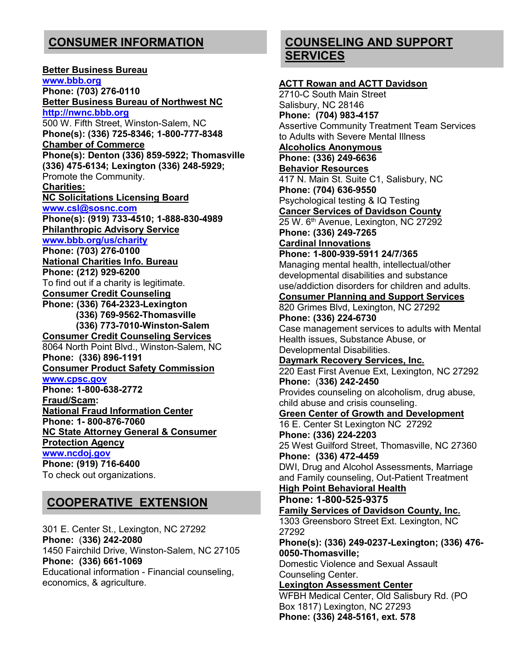## **CONSUMER INFORMATION**

**Better Business Bureau www.bbb.org Phone: (703) 276-0110 Better Business Bureau of Northwest NC http://nwnc.bbb.org** 500 W. Fifth Street, Winston-Salem, NC **Phone(s): (336) 725-8346; 1-800-777-8348 Chamber of Commerce Phone(s): Denton (336) 859-5922; Thomasville (336) 475-6134; Lexington (336) 248-5929;**  Promote the Community. **Charities: NC Solicitations Licensing Board www.csl@sosnc.com Phone(s): (919) 733-4510; 1-888-830-4989 Philanthropic Advisory Service www.bbb.org/us/charity Phone: (703) 276-0100 National Charities Info. Bureau Phone: (212) 929-6200** To find out if a charity is legitimate. **Consumer Credit Counseling Phone: (336) 764-2323-Lexington (336) 769-9562-Thomasville (336) 773-7010-Winston-Salem Consumer Credit Counseling Services** 8064 North Point Blvd., Winston-Salem, NC **Phone: (336) 896-1191 Consumer Product Safety Commission www.cpsc.gov Phone: 1-800-638-2772 Fraud/Scam: National Fraud Information Center Phone: 1- 800-876-7060 NC State Attorney General & Consumer Protection Agency www.ncdoj.gov Phone: (919) 716-6400** To check out organizations.

## **COOPERATIVE EXTENSION**

301 E. Center St., Lexington, NC 27292 **Phone:** (**336) 242-2080** 1450 Fairchild Drive, Winston-Salem, NC 27105 **Phone: (336) 661-1069** Educational information - Financial counseling, economics, & agriculture.

## **COUNSELING AND SUPPORT SERVICES**

**ACTT Rowan and ACTT Davidson** 2710-C South Main Street Salisbury, NC 28146 **Phone: (704) 983-4157** Assertive Community Treatment Team Services to Adults with Severe Mental Illness **Alcoholics Anonymous Phone: (336) 249-6636 Behavior Resources** 417 N. Main St. Suite C1, Salisbury, NC **Phone: (704) 636-9550** Psychological testing & IQ Testing **Cancer Services of Davidson County** 25 W. 6<sup>th</sup> Avenue, Lexington, NC 27292 **Phone: (336) 249-7265 Cardinal Innovations Phone: 1-800-939-5911 24/7/365** Managing mental health, intellectual/other developmental disabilities and substance use/addiction disorders for children and adults. **Consumer Planning and Support Services** 820 Grimes Blvd, Lexington, NC 27292 **Phone: (336) 224-6730** Case management services to adults with Mental Health issues, Substance Abuse, or Developmental Disabilities. **Daymark Recovery Services, Inc.** 220 East First Avenue Ext, Lexington, NC 27292 **Phone:** (**336) 242-2450** Provides counseling on alcoholism, drug abuse, child abuse and crisis counseling. **Green Center of Growth and Development** 16 E. Center St Lexington NC 27292 **Phone: (336) 224-2203** 25 West Guilford Street, Thomasville, NC 27360 **Phone: (336) 472-4459** DWI, Drug and Alcohol Assessments, Marriage and Family counseling, Out-Patient Treatment **High Point Behavioral Health Phone: 1-800-525-9375 Family Services of Davidson County, Inc.**  1303 Greensboro Street Ext. Lexington, NC 27292 **Phone(s): (336) 249-0237-Lexington; (336) 476- 0050-Thomasville;**  Domestic Violence and Sexual Assault Counseling Center. **Lexington Assessment Center** WFBH Medical Center, Old Salisbury Rd. (PO Box 1817) Lexington, NC 27293 **Phone: (336) 248-5161, ext. 578**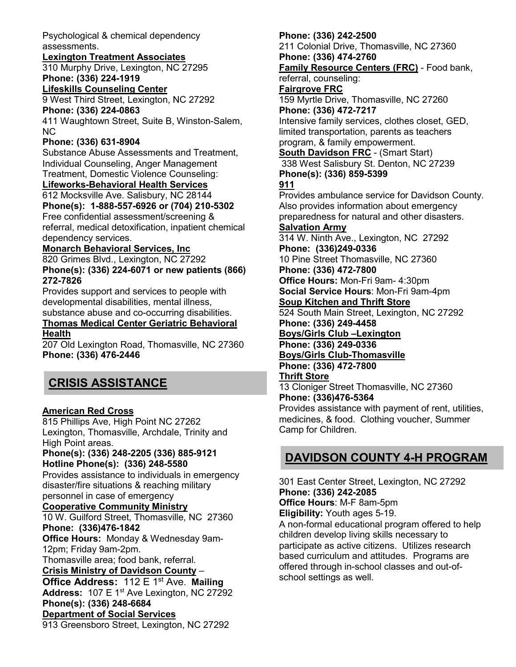Psychological & chemical dependency assessments.

### **Lexington Treatment Associates**

310 Murphy Drive, Lexington, NC 27295 **Phone: (336) 224-1919**

**Lifeskills Counseling Center**

9 West Third Street, Lexington, NC 27292 **Phone: (336) 224-0863**

411 Waughtown Street, Suite B, Winston-Salem, NC

### **Phone: (336) 631-8904**

Substance Abuse Assessments and Treatment, Individual Counseling, Anger Management Treatment, Domestic Violence Counseling:

### **Lifeworks-Behavioral Health Services**

612 Mocksville Ave. Salisbury, NC 28144 **Phone(s): 1-888-557-6926 or (704) 210-5302** Free confidential assessment/screening & referral, medical detoxification, inpatient chemical dependency services.

### **Monarch Behavioral Services, Inc**

820 Grimes Blvd., Lexington, NC 27292 **Phone(s): (336) 224-6071 or new patients (866) 272-7826**

Provides support and services to people with developmental disabilities, mental illness, substance abuse and co-occurring disabilities.

#### **Thomas Medical Center Geriatric Behavioral Health**

207 Old Lexington Road, Thomasville, NC 27360 **Phone: (336) 476-2446**

## **CRISIS ASSISTANCE**

### **American Red Cross**

815 Phillips Ave, High Point NC 27262 Lexington, Thomasville, Archdale, Trinity and High Point areas.

#### **Phone(s): (336) 248-2205 (336) 885-9121 Hotline Phone(s): (336) 248-5580**

Provides assistance to individuals in emergency disaster/fire situations & reaching military personnel in case of emergency

### **Cooperative Community Ministry**

10 W. Guilford Street, Thomasville, NC 27360 **Phone: (336)476-1842 Office Hours:** Monday & Wednesday 9am-

12pm; Friday 9am-2pm. Thomasville area; food bank, referral.

**Crisis Ministry of Davidson County** –

**Office Address:** 112 E 1st Ave. **Mailing**  Address: 107 E 1<sup>st</sup> Ave Lexington, NC 27292 **Phone(s): (336) 248-6684 Department of Social Services** 913 Greensboro Street, Lexington, NC 27292

### **Phone: (336) 242-2500**

211 Colonial Drive, Thomasville, NC 27360 **Phone: (336) 474-2760**

**Family Resource Centers (FRC)** - Food bank, referral, counseling:

## **Fairgrove FRC**

159 Myrtle Drive, Thomasville, NC 27260 **Phone: (336) 472-7217**

Intensive family services, clothes closet, GED, limited transportation, parents as teachers program, & family empowerment.

**South Davidson FRC** - (Smart Start) 338 West Salisbury St. Denton, NC 27239 **Phone(s): (336) 859-5399** 

### **911**

Provides ambulance service for Davidson County. Also provides information about emergency preparedness for natural and other disasters.

### **Salvation Army**

314 W. Ninth Ave., Lexington, NC 27292 **Phone: (336)249-0336**

10 Pine Street Thomasville, NC 27360 **Phone: (336) 472-7800**

**Office Hours:** Mon-Fri 9am- 4:30pm **Social Service Hours**: Mon-Fri 9am-4pm

#### **Soup Kitchen and Thrift Store**

524 South Main Street, Lexington, NC 27292 **Phone: (336) 249-4458**

#### **Boys/Girls Club –Lexington**

**Phone: (336) 249-0336 Boys/Girls Club-Thomasville**

**Phone: (336) 472-7800**

### **Thrift Store**

13 Cloniger Street Thomasville, NC 27360 **Phone: (336)476-5364**

Provides assistance with payment of rent, utilities, medicines, & food. Clothing voucher, Summer Camp for Children.

## **DAVIDSON COUNTY 4-H PROGRAM**

301 East Center Street, Lexington, NC 27292 **Phone: (336) 242-2085 Office Hours**: M-F 8am-5pm

**Eligibility:** Youth ages 5-19.

A non-formal educational program offered to help children develop living skills necessary to participate as active citizens. Utilizes research based curriculum and attitudes. Programs are offered through in-school classes and out-ofschool settings as well.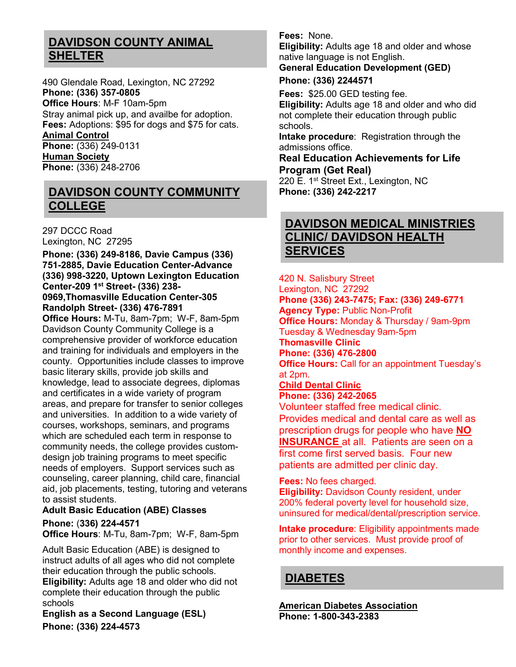## **DAVIDSON COUNTY ANIMAL SHELTER**

490 Glendale Road, Lexington, NC 27292 **Phone: (336) 357-0805 Office Hours**: M-F 10am-5pm Stray animal pick up, and availbe for adoption. **Fees:** Adoptions: \$95 for dogs and \$75 for cats. **Animal Control Phone:** (336) 249-0131 **Human Society Phone:** (336) 248-2706

## **DAVIDSON COUNTY COMMUNITY COLLEGE**

297 DCCC Road Lexington, NC 27295

**Phone: (336) 249-8186, Davie Campus (336) 751-2885, Davie Education Center-Advance (336) 998-3220, Uptown Lexington Education Center-209 1st Street- (336) 238- 0969,Thomasville Education Center-305 Randolph Street- (336) 476-7891**

**Office Hours:** M-Tu, 8am-7pm; W-F, 8am-5pm Davidson County Community College is a comprehensive provider of workforce education and training for individuals and employers in the county. Opportunities include classes to improve basic literary skills, provide job skills and knowledge, lead to associate degrees, diplomas and certificates in a wide variety of program areas, and prepare for transfer to senior colleges and universities. In addition to a wide variety of courses, workshops, seminars, and programs which are scheduled each term in response to community needs, the college provides customdesign job training programs to meet specific needs of employers. Support services such as counseling, career planning, child care, financial aid, job placements, testing, tutoring and veterans to assist students.

### **Adult Basic Education (ABE) Classes Phone:** (**336) 224-4571**

**Office Hours**: M-Tu, 8am-7pm; W-F, 8am-5pm

Adult Basic Education (ABE) is designed to instruct adults of all ages who did not complete their education through the public schools. **Eligibility:** Adults age 18 and older who did not complete their education through the public schools

**English as a Second Language (ESL) Phone: (336) 224-4573**

**Fees:** None.

**Eligibility:** Adults age 18 and older and whose native language is not English.

### **General Education Development (GED)**

### **Phone: (336) 2244571**

**Fees:** \$25.00 GED testing fee.

**Eligibility:** Adults age 18 and older and who did not complete their education through public schools.

**Intake procedure**: Registration through the admissions office.

### **Real Education Achievements for Life Program (Get Real)**

220 E. 1<sup>st</sup> Street Ext., Lexington, NC **Phone: (336) 242-2217**

## **DAVIDSON MEDICAL MINISTRIES CLINIC/ DAVIDSON HEALTH SERVICES**

420 N. Salisbury Street Lexington, NC 27292 **Phone (336) 243-7475; Fax: (336) 249-6771 Agency Type:** Public Non-Profit **Office Hours:** Monday & Thursday / 9am-9pm Tuesday & Wednesday 9am-5pm **Thomasville Clinic Phone: (336) 476-2800 Office Hours: Call for an appointment Tuesday's** at 2pm.

#### **Child Dental Clinic Phone: (336) 242-2065**

Volunteer staffed free medical clinic. Provides medical and dental care as well as prescription drugs for people who have **NO INSURANCE** at all. Patients are seen on a first come first served basis. Four new patients are admitted per clinic day.

**Fees:** No fees charged.

**Eligibility:** Davidson County resident, under 200% federal poverty level for household size, uninsured for medical/dental/prescription service.

**Intake procedure**: Eligibility appointments made prior to other services. Must provide proof of monthly income and expenses.

### **DIABETES**

**American Diabetes Association Phone: 1-800-343-2383**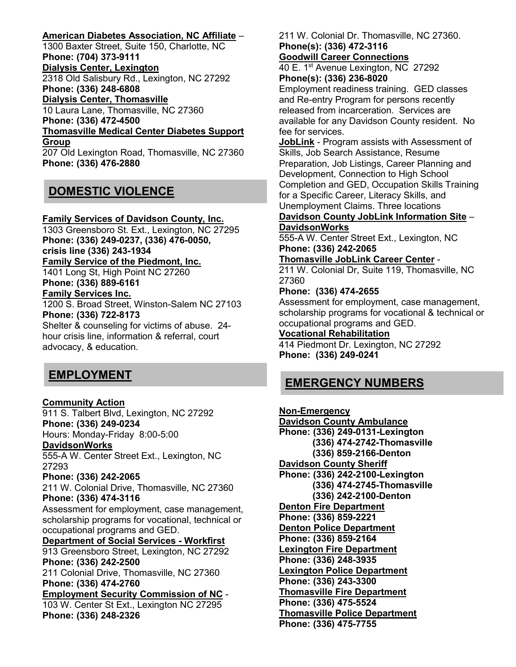### **American Diabetes Association, NC Affiliate** –

1300 Baxter Street, Suite 150, Charlotte, NC **Phone: (704) 373-9111 Dialysis Center, Lexington** 2318 Old Salisbury Rd., Lexington, NC 27292 **Phone: (336) 248-6808 Dialysis Center, Thomasville** 10 Laura Lane, Thomasville, NC 27360 **Phone: (336) 472-4500 Thomasville Medical Center Diabetes Support Group** 207 Old Lexington Road, Thomasville, NC 27360 **Phone: (336) 476-2880**

## **DOMESTIC VIOLENCE**

#### **Family Services of Davidson County, Inc.**

1303 Greensboro St. Ext., Lexington, NC 27295 **Phone: (336) 249-0237, (336) 476-0050, crisis line (336) 243-1934 Family Service of the Piedmont, Inc.** 1401 Long St, High Point NC 27260 **Phone: (336) 889-6161 Family Services Inc.** 1200 S. Broad Street, Winston-Salem NC 27103 **Phone: (336) 722-8173** Shelter & counseling for victims of abuse. 24 hour crisis line, information & referral, court advocacy, & education.

## **EMPLOYMENT**

### **Community Action**

911 S. Talbert Blvd, Lexington, NC 27292 **Phone: (336) 249-0234** Hours: Monday-Friday 8:00-5:00 **DavidsonWorks** 555-A W. Center Street Ext., Lexington, NC 27293 **Phone: (336) 242-2065** 211 W. Colonial Drive, Thomasville, NC 27360 **Phone: (336) 474-3116** Assessment for employment, case management, scholarship programs for vocational, technical or occupational programs and GED. **Department of Social Services - Workfirst** 913 Greensboro Street, Lexington, NC 27292 **Phone: (336) 242-2500** 211 Colonial Drive, Thomasville, NC 27360 **Phone: (336) 474-2760 Employment Security Commission of NC** - 103 W. Center St Ext., Lexington NC 27295 **Phone: (336) 248-2326**

211 W. Colonial Dr. Thomasville, NC 27360. **Phone(s): (336) 472-3116**

#### **Goodwill Career Connections**

40 E. 1st Avenue Lexington, NC 27292 **Phone(s): (336) 236-8020**

Employment readiness training. GED classes and Re-entry Program for persons recently released from incarceration. Services are available for any Davidson County resident. No fee for services.

**JobLink** - Program assists with Assessment of Skills, Job Search Assistance, Resume Preparation, Job Listings, Career Planning and Development, Connection to High School Completion and GED, Occupation Skills Training for a Specific Career, Literacy Skills, and Unemployment Claims. Three locations

**Davidson County JobLink Information Site** – **DavidsonWorks**

555-A W. Center Street Ext., Lexington, NC **Phone: (336) 242-2065**

#### **Thomasville JobLink Career Center** -

211 W. Colonial Dr, Suite 119, Thomasville, NC 27360

#### **Phone: (336) 474-2655**

Assessment for employment, case management, scholarship programs for vocational & technical or occupational programs and GED.

#### **Vocational Rehabilitation**

414 Piedmont Dr. Lexington, NC 27292 **Phone: (336) 249-0241** 

### **EMERGENCY NUMBERS**

**Non-Emergency Davidson County Ambulance Phone: (336) 249-0131-Lexington (336) 474-2742-Thomasville (336) 859-2166-Denton Davidson County Sheriff Phone: (336) 242-2100-Lexington (336) 474-2745-Thomasville (336) 242-2100-Denton Denton Fire Department Phone: (336) 859-2221 Denton Police Department Phone: (336) 859-2164 Lexington Fire Department Phone: (336) 248-3935 Lexington Police Department Phone: (336) 243-3300 Thomasville Fire Department Phone: (336) 475-5524 Thomasville Police Department Phone: (336) 475-7755**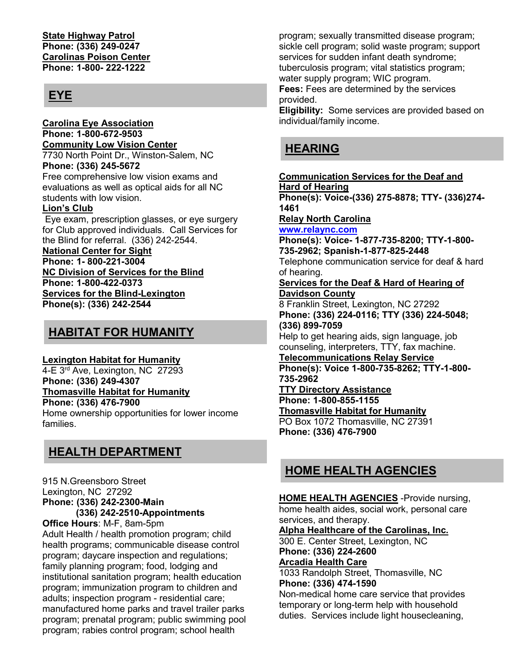#### **State Highway Patrol Phone: (336) 249-0247 Carolinas Poison Center Phone: 1-800- 222-1222**

## **EYE**

**Carolina Eye Association Phone: 1-800-672-9503 Community Low Vision Center** 7730 North Point Dr., Winston-Salem, NC **Phone: (336) 245-5672** Free comprehensive low vision exams and

evaluations as well as optical aids for all NC students with low vision.

### **Lion's Club**

Eye exam, prescription glasses, or eye surgery for Club approved individuals. Call Services for the Blind for referral. (336) 242-2544.

**National Center for Sight**

**Phone: 1- 800-221-3004 NC Division of Services for the Blind Phone: 1-800-422-0373 Services for the Blind-Lexington Phone(s): (336) 242-2544**

## **HABITAT FOR HUMANITY**

### **Lexington Habitat for Humanity**

4-E 3<sup>rd</sup> Ave, Lexington, NC 27293 **Phone: (336) 249-4307 Thomasville Habitat for Humanity Phone: (336) 476-7900**

Home ownership opportunities for lower income families.

## **HEALTH DEPARTMENT**

915 N.Greensboro Street Lexington, NC 27292 **Phone: (336) 242-2300-Main (336) 242-2510-Appointments Office Hours**: M-F, 8am-5pm Adult Health / health promotion program; child health programs; communicable disease control program; daycare inspection and regulations; family planning program; food, lodging and institutional sanitation program; health education program; immunization program to children and adults; inspection program - residential care; manufactured home parks and travel trailer parks program; prenatal program; public swimming pool program; rabies control program; school health

program; sexually transmitted disease program; sickle cell program; solid waste program; support services for sudden infant death syndrome; tuberculosis program; vital statistics program; water supply program; WIC program.

**Fees:** Fees are determined by the services provided.

**Eligibility:** Some services are provided based on individual/family income.

## **HEARING**

**Communication Services for the Deaf and Hard of Hearing Phone(s): Voice-(336) 275-8878; TTY- (336)274-**

**1461**

**Relay North Carolina**

**www.relaync.com**

**Phone(s): Voice- 1-877-735-8200; TTY-1-800- 735-2962; Spanish-1-877-825-2448**

Telephone communication service for deaf & hard of hearing.

**Services for the Deaf & Hard of Hearing of Davidson County**

8 Franklin Street, Lexington, NC 27292 **Phone: (336) 224-0116; TTY (336) 224-5048; (336) 899-7059**

Help to get hearing aids, sign language, job counseling, interpreters, TTY, fax machine.

**Telecommunications Relay Service Phone(s): Voice 1-800-735-8262; TTY-1-800- 735-2962**

**TTY Directory Assistance**

**Phone: 1-800-855-1155**

**Thomasville Habitat for Humanity**

PO Box 1072 Thomasville, NC 27391 **Phone: (336) 476-7900**

## **HOME HEALTH AGENCIES**

**HOME HEALTH AGENCIES** -Provide nursing, home health aides, social work, personal care services, and therapy.

**Alpha Healthcare of the Carolinas, Inc.** 300 E. Center Street, Lexington, NC

**Phone: (336) 224-2600 Arcadia Health Care**

1033 Randolph Street, Thomasville, NC **Phone: (336) 474-1590**

Non-medical home care service that provides temporary or long-term help with household duties. Services include light housecleaning,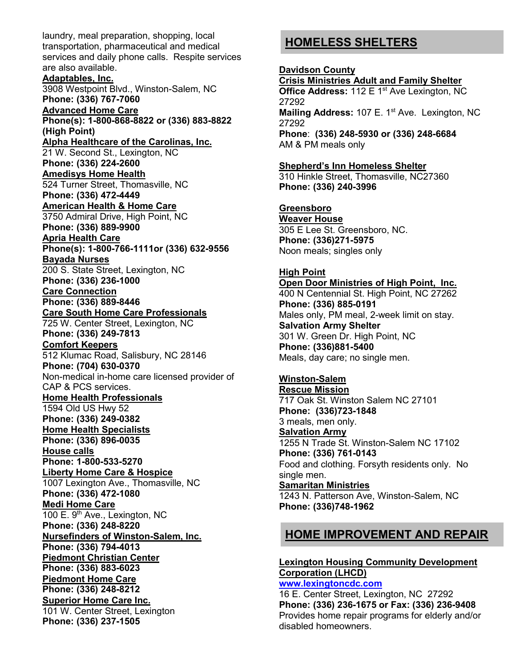laundry, meal preparation, shopping, local transportation, pharmaceutical and medical services and daily phone calls. Respite services are also available. **Adaptables, Inc.** 3908 Westpoint Blvd., Winston-Salem, NC **Phone: (336) 767-7060 Advanced Home Care Phone(s): 1-800-868-8822 or (336) 883-8822 (High Point) Alpha Healthcare of the Carolinas, Inc.** 21 W. Second St., Lexington, NC **Phone: (336) 224-2600 Amedisys Home Health**  524 Turner Street, Thomasville, NC **Phone: (336) 472-4449 American Health & Home Care** 3750 Admiral Drive, High Point, NC **Phone: (336) 889-9900 Apria Health Care Phone(s): 1-800-766-1111or (336) 632-9556 Bayada Nurses** 200 S. State Street, Lexington, NC **Phone: (336) 236-1000 Care Connection Phone: (336) 889-8446 Care South Home Care Professionals** 725 W. Center Street, Lexington, NC **Phone: (336) 249-7813 Comfort Keepers** 512 Klumac Road, Salisbury, NC 28146 **Phone: (704) 630-0370**  Non-medical in-home care licensed provider of CAP & PCS services. **Home Health Professionals** 1594 Old US Hwy 52 **Phone: (336) 249-0382 Home Health Specialists Phone: (336) 896-0035 House calls Phone: 1-800-533-5270 Liberty Home Care & Hospice** 1007 Lexington Ave., Thomasville, NC **Phone: (336) 472-1080 Medi Home Care**  100 E. 9<sup>th</sup> Ave., Lexington, NC **Phone: (336) 248-8220 Nursefinders of Winston-Salem, Inc. Phone: (336) 794-4013 Piedmont Christian Center Phone: (336) 883-6023 Piedmont Home Care Phone: (336) 248-8212 Superior Home Care Inc.** 101 W. Center Street, Lexington **Phone: (336) 237-1505**

## **HOMELESS SHELTERS**

#### **Davidson County**

**Crisis Ministries Adult and Family Shelter Office Address: 112 E 1st Ave Lexington, NC** 27292 **Mailing Address: 107 E. 1<sup>st</sup> Ave. Lexington, NC** 27292 **Phone**: **(336) 248-5930 or (336) 248-6684** AM & PM meals only

### **Shepherd's Inn Homeless Shelter**

310 Hinkle Street, Thomasville, NC27360 **Phone: (336) 240-3996**

### **Greensboro**

**Weaver House** 305 E Lee St. Greensboro, NC. **Phone: (336)271-5975** Noon meals; singles only

#### **High Point**

**Open Door Ministries of High Point, Inc.** 400 N Centennial St. High Point, NC 27262 **Phone: (336) 885-0191** Males only, PM meal, 2-week limit on stay. **Salvation Army Shelter** 301 W. Green Dr. High Point, NC **Phone: (336)881-5400** Meals, day care; no single men.

#### **Winston-Salem**

**Rescue Mission** 717 Oak St. Winston Salem NC 27101 **Phone: (336)723-1848** 3 meals, men only. **Salvation Army** 1255 N Trade St. Winston-Salem NC 17102 **Phone: (336) 761-0143** Food and clothing. Forsyth residents only. No single men. **Samaritan Ministries** 1243 N. Patterson Ave, Winston-Salem, NC **Phone: (336)748-1962**

### **HOME IMPROVEMENT AND REPAIR**

#### **Lexington Housing Community Development Corporation (LHCD) www.lexingtoncdc.com**

16 E. Center Street, Lexington, NC 27292 **Phone: (336) 236-1675 or Fax: (336) 236-9408** Provides home repair programs for elderly and/or disabled homeowners.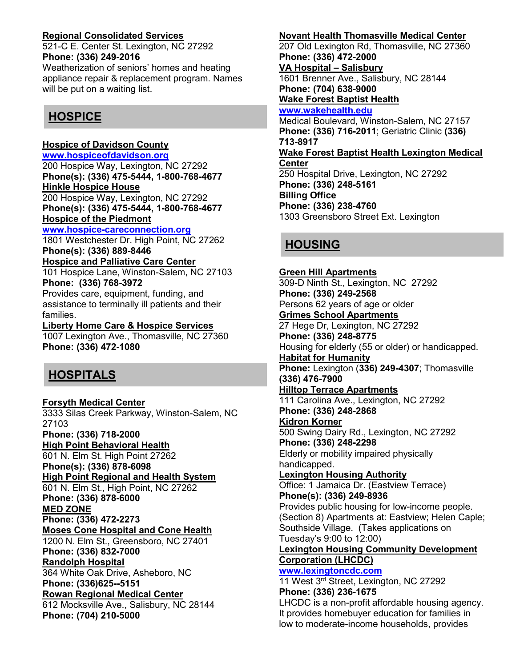### **Regional Consolidated Services**

521-C E. Center St. Lexington, NC 27292 **Phone: (336) 249-2016**

Weatherization of seniors' homes and heating appliance repair & replacement program. Names will be put on a waiting list.

## **HOSPICE**

### **Hospice of Davidson County**

**www.hospiceofdavidson.org**

200 Hospice Way, Lexington, NC 27292 **Phone(s): (336) 475-5444, 1-800-768-4677 Hinkle Hospice House**

200 Hospice Way, Lexington, NC 27292 **Phone(s): (336) 475-5444, 1-800-768-4677 Hospice of the Piedmont**

#### **www.hospice-careconnection.org**

1801 Westchester Dr. High Point, NC 27262 **Phone(s): (336) 889-8446**

#### **Hospice and Palliative Care Center** 101 Hospice Lane, Winston-Salem, NC 27103

**Phone: (336) 768-3972**

Provides care, equipment, funding, and assistance to terminally ill patients and their families.

#### **Liberty Home Care & Hospice Services** 1007 Lexington Ave., Thomasville, NC 27360 **Phone: (336) 472-1080**

## **HOSPITALS**

**Forsyth Medical Center** 3333 Silas Creek Parkway, Winston-Salem, NC 27103 **Phone: (336) 718-2000 High Point Behavioral Health** 601 N. Elm St. High Point 27262 **Phone(s): (336) 878-6098 High Point Regional and Health System** 601 N. Elm St., High Point, NC 27262 **Phone: (336) 878-6000 MED ZONE Phone: (336) 472-2273 Moses Cone Hospital and Cone Health** 1200 N. Elm St., Greensboro, NC 27401 **Phone: (336) 832-7000 Randolph Hospital** 364 White Oak Drive, Asheboro, NC **Phone: (336)625--5151 Rowan Regional Medical Center** 612 Mocksville Ave., Salisbury, NC 28144 **Phone: (704) 210-5000**

### **Novant Health Thomasville Medical Center**

207 Old Lexington Rd, Thomasville, NC 27360 **Phone: (336) 472-2000 VA Hospital – Salisbury** 1601 Brenner Ave., Salisbury, NC 28144 **Phone: (704) 638-9000 Wake Forest Baptist Health www.wakehealth.edu** Medical Boulevard, Winston-Salem, NC 27157

**Phone: (336) 716-2011**; Geriatric Clinic **(336) 713-8917 Wake Forest Baptist Health Lexington Medical** 

#### **Center** 250 Hospital Drive, Lexington, NC 27292 **Phone: (336) 248-5161 Billing Office Phone: (336) 238-4760** 1303 Greensboro Street Ext. Lexington

## **HOUSING**

### **Green Hill Apartments** 309-D Ninth St., Lexington, NC 27292 **Phone: (336) 249-2568** Persons 62 years of age or older **Grimes School Apartments** 27 Hege Dr, Lexington, NC 27292 **Phone: (336) 248-8775** Housing for elderly (55 or older) or handicapped. **Habitat for Humanity Phone:** Lexington (**336) 249-4307**; Thomasville **(336) 476-7900 Hilltop Terrace Apartments** 111 Carolina Ave., Lexington, NC 27292 **Phone: (336) 248-2868 Kidron Korner** 500 Swing Dairy Rd., Lexington, NC 27292 **Phone: (336) 248-2298** Elderly or mobility impaired physically handicapped. **Lexington Housing Authority** Office: 1 Jamaica Dr. (Eastview Terrace) **Phone(s): (336) 249-8936** Provides public housing for low-income people. (Section 8) Apartments at: Eastview; Helen Caple; Southside Village. (Takes applications on Tuesday's 9:00 to 12:00) **Lexington Housing Community Development Corporation (LHCDC) www.lexingtoncdc.com** 11 West 3<sup>rd</sup> Street, Lexington, NC 27292 **Phone: (336) 236-1675**

LHCDC is a non-profit affordable housing agency. It provides homebuyer education for families in low to moderate-income households, provides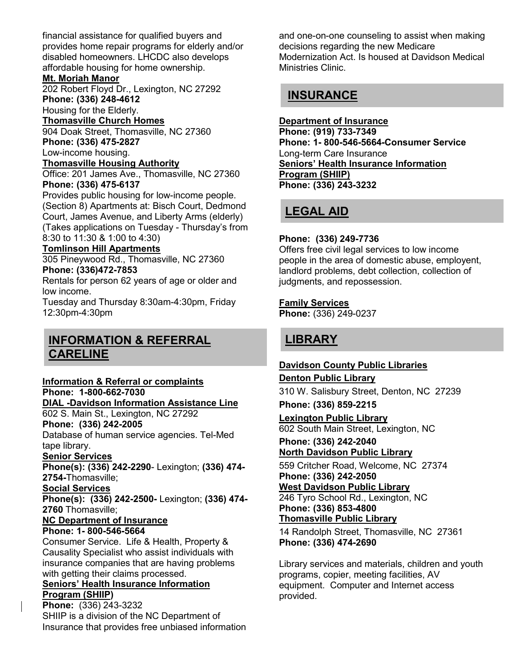financial assistance for qualified buyers and provides home repair programs for elderly and/or disabled homeowners. LHCDC also develops affordable housing for home ownership.

### **Mt. Moriah Manor**

202 Robert Floyd Dr., Lexington, NC 27292 **Phone: (336) 248-4612**

Housing for the Elderly.

**Thomasville Church Homes**

904 Doak Street, Thomasville, NC 27360 **Phone: (336) 475-2827**

Low-income housing.

**Thomasville Housing Authority**

Office: 201 James Ave., Thomasville, NC 27360 **Phone: (336) 475-6137**

Provides public housing for low-income people. (Section 8) Apartments at: Bisch Court, Dedmond Court, James Avenue, and Liberty Arms (elderly) (Takes applications on Tuesday - Thursday's from 8:30 to 11:30 & 1:00 to 4:30)

### **Tomlinson Hill Apartments**

305 Pineywood Rd., Thomasville, NC 27360 **Phone: (336)472-7853**

Rentals for person 62 years of age or older and low income.

Tuesday and Thursday 8:30am-4:30pm, Friday 12:30pm-4:30pm

## **INFORMATION & REFERRAL CARELINE**

### **Information & Referral or complaints**

**Phone: 1-800-662-7030 DIAL -Davidson Information Assistance Line**

602 S. Main St., Lexington, NC 27292 **Phone: (336) 242-2005**

Database of human service agencies. Tel-Med tape library.

### **Senior Services**

**Phone(s): (336) 242-2290**- Lexington; **(336) 474- 2754-**Thomasville;

### **Social Services**

**Phone(s): (336) 242-2500-** Lexington; **(336) 474- 2760** Thomasville;

## **NC Department of Insurance**

**Phone: 1- 800-546-5664**

Consumer Service. Life & Health, Property & Causality Specialist who assist individuals with insurance companies that are having problems with getting their claims processed.

#### **Seniors' Health Insurance Information Program (SHIIP)**

**Phone:** (336) 243-3232 SHIIP is a division of the NC Department of Insurance that provides free unbiased information and one-on-one counseling to assist when making decisions regarding the new Medicare Modernization Act. Is housed at Davidson Medical Ministries Clinic.

## **INSURANCE**

**Department of Insurance Phone: (919) 733-7349 Phone: 1- 800-546-5664-Consumer Service** Long-term Care Insurance **Seniors' Health Insurance Information Program (SHIIP) Phone: (336) 243-3232**

## **LEGAL AID**

### **Phone: (336) 249-7736**

Offers free civil legal services to low income people in the area of domestic abuse, employent, landlord problems, debt collection, collection of judgments, and repossession.

### **Family Services**

**Phone:** (336) 249-0237

## **LIBRARY**

## **Davidson County Public Libraries**

### **Denton Public Library**

310 W. Salisbury Street, Denton, NC 27239

**Phone: (336) 859-2215**

## **Lexington Public Library**

602 South Main Street, Lexington, NC

## **Phone: (336) 242-2040**

**North Davidson Public Library** 

559 Critcher Road, Welcome, NC 27374 **Phone: (336) 242-2050 West Davidson Public Library**

246 Tyro School Rd., Lexington, NC **Phone: (336) 853-4800 Thomasville Public Library** 

14 Randolph Street, Thomasville, NC 27361 **Phone: (336) 474-2690**

Library services and materials, children and youth programs, copier, meeting facilities, AV equipment. Computer and Internet access provided.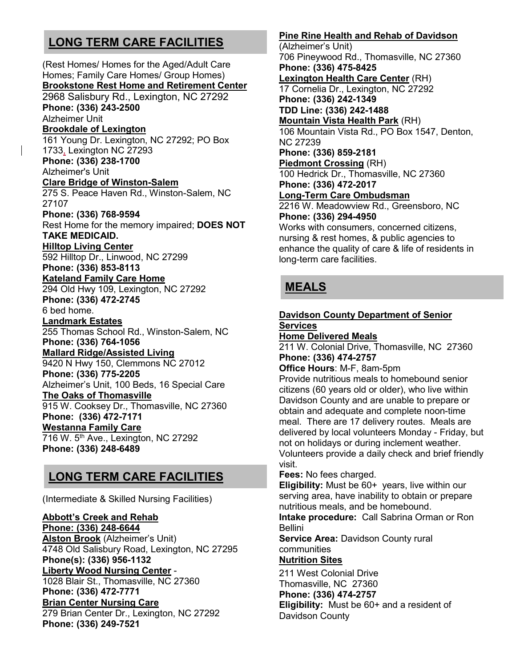## **LONG TERM CARE FACILITIES**

(Rest Homes/ Homes for the Aged/Adult Care Homes; Family Care Homes/ Group Homes) **Brookstone Rest Home and Retirement Center** 2968 Salisbury Rd., Lexington, NC 27292 **Phone: (336) 243-2500** Alzheimer Unit **Brookdale of Lexington** 161 Young Dr. Lexington, NC 27292; PO Box 1733, Lexington NC 27293 **Phone: (336) 238-1700** Alzheimer's Unit **Clare Bridge of Winston-Salem** 275 S. Peace Haven Rd., Winston-Salem, NC 27107 **Phone: (336) 768-9594** Rest Home for the memory impaired; **DOES NOT TAKE MEDICAID. Hilltop Living Center** 592 Hilltop Dr., Linwood, NC 27299 **Phone: (336) 853-8113 Kateland Family Care Home**  294 Old Hwy 109, Lexington, NC 27292 **Phone: (336) 472-2745** 6 bed home. **Landmark Estates** 255 Thomas School Rd., Winston-Salem, NC **Phone: (336) 764-1056 Mallard Ridge/Assisted Living** 9420 N Hwy 150, Clemmons NC 27012 **Phone: (336) 775-2205**  Alzheimer's Unit, 100 Beds, 16 Special Care **The Oaks of Thomasville** 915 W. Cooksey Dr., Thomasville, NC 27360 **Phone: (336) 472-7171 Westanna Family Care** 716 W. 5<sup>th</sup> Ave., Lexington, NC 27292 **Phone: (336) 248-6489**

## **LONG TERM CARE FACILITIES**

(Intermediate & Skilled Nursing Facilities)

### **Abbott's Creek and Rehab**

**Phone: (336) 248-6644 Alston Brook** (Alzheimer's Unit) 4748 Old Salisbury Road, Lexington, NC 27295 **Phone(s): (336) 956-1132 Liberty Wood Nursing Center** - 1028 Blair St., Thomasville, NC 27360 **Phone: (336) 472-7771 Brian Center Nursing Care** 279 Brian Center Dr., Lexington, NC 27292 **Phone: (336) 249-7521**

### **Pine Rine Health and Rehab of Davidson**

(Alzheimer's Unit) 706 Pineywood Rd., Thomasville, NC 27360 **Phone: (336) 475-8425 Lexington Health Care Center** (RH) 17 Cornelia Dr., Lexington, NC 27292 **Phone: (336) 242-1349 TDD Line: (336) 242-1488 Mountain Vista Health Park** (RH) 106 Mountain Vista Rd., PO Box 1547, Denton, NC 27239 **Phone: (336) 859-2181 Piedmont Crossing** (RH) 100 Hedrick Dr., Thomasville, NC 27360 **Phone: (336) 472-2017 Long-Term Care Ombudsman** 2216 W. Meadowview Rd., Greensboro, NC **Phone: (336) 294-4950** Works with consumers, concerned citizens, nursing & rest homes, & public agencies to enhance the quality of care & life of residents in long-term care facilities.

## **MEALS**

### **Davidson County Department of Senior Services**

**Home Delivered Meals** 211 W. Colonial Drive, Thomasville, NC 27360 **Phone: (336) 474-2757**

### **Office Hours**: M-F, 8am-5pm

Provide nutritious meals to homebound senior citizens (60 years old or older), who live within Davidson County and are unable to prepare or obtain and adequate and complete noon-time meal. There are 17 delivery routes. Meals are delivered by local volunteers Monday - Friday, but not on holidays or during inclement weather. Volunteers provide a daily check and brief friendly visit.

**Fees:** No fees charged.

**Eligibility:** Must be 60+ years, live within our serving area, have inability to obtain or prepare nutritious meals, and be homebound.

**Intake procedure:** Call Sabrina Orman or Ron Bellini

**Service Area:** Davidson County rural communities

### **Nutrition Sites**

211 West Colonial Drive Thomasville, NC 27360 **Phone: (336) 474-2757 Eligibility:** Must be 60+ and a resident of Davidson County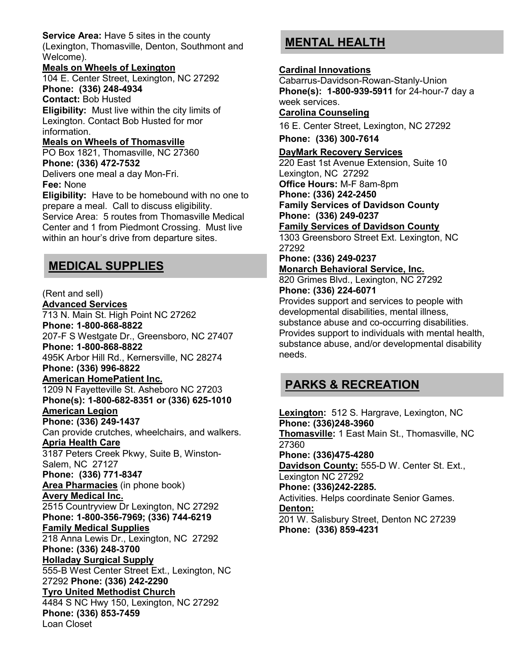**Service Area:** Have 5 sites in the county (Lexington, Thomasville, Denton, Southmont and Welcome).

#### **Meals on Wheels of Lexington**

104 E. Center Street, Lexington, NC 27292 **Phone: (336) 248-4934**

**Contact:** Bob Husted

**Eligibility:** Must live within the city limits of Lexington. Contact Bob Husted for mor information.

## **Meals on Wheels of Thomasville**

PO Box 1821, Thomasville, NC 27360 **Phone: (336) 472-7532**

Delivers one meal a day Mon-Fri.

#### **Fee:** None

**Eligibility:** Have to be homebound with no one to prepare a meal. Call to discuss eligibility. Service Area: 5 routes from Thomasville Medical Center and 1 from Piedmont Crossing. Must live within an hour's drive from departure sites.

## **MEDICAL SUPPLIES**

(Rent and sell) **Advanced Services** 713 N. Main St. High Point NC 27262 **Phone: 1-800-868-8822** 207-F S Westgate Dr., Greensboro, NC 27407 **Phone: 1-800-868-8822** 495K Arbor Hill Rd., Kernersville, NC 28274 **Phone: (336) 996-8822 American HomePatient Inc.** 1209 N Fayetteville St. Asheboro NC 27203 **Phone(s): 1-800-682-8351 or (336) 625-1010 American Legion Phone: (336) 249-1437** Can provide crutches, wheelchairs, and walkers. **Apria Health Care** 3187 Peters Creek Pkwy, Suite B, Winston-Salem, NC 27127 **Phone: (336) 771-8347 Area Pharmacies** (in phone book) **Avery Medical Inc.** 2515 Countryview Dr Lexington, NC 27292 **Phone: 1-800-356-7969; (336) 744-6219 Family Medical Supplies** 218 Anna Lewis Dr., Lexington, NC 27292 **Phone: (336) 248-3700 Holladay Surgical Supply** 555-B West Center Street Ext., Lexington, NC 27292 **Phone: (336) 242-2290 Tyro United Methodist Church** 4484 S NC Hwy 150, Lexington, NC 27292 **Phone: (336) 853-7459** Loan Closet

## **MENTAL HEALTH**

### **Cardinal Innovations**

Cabarrus-Davidson-Rowan-Stanly-Union **Phone(s): 1-800-939-5911** for 24-hour-7 day a week services.

**Carolina Counseling**

16 E. Center Street, Lexington, NC 27292

**Phone: (336) 300-7614**

### **DayMark Recovery Services**

220 East 1st Avenue Extension, Suite 10 Lexington, NC 27292 **Office Hours:** M-F 8am-8pm **Phone: (336) 242-2450 Family Services of Davidson County Phone: (336) 249-0237**

**Family Services of Davidson County**

1303 Greensboro Street Ext. Lexington, NC 27292

**Phone: (336) 249-0237 Monarch Behavioral Service, Inc.**

820 Grimes Blvd., Lexington, NC 27292 **Phone: (336) 224-6071**

Provides support and services to people with developmental disabilities, mental illness, substance abuse and co-occurring disabilities. Provides support to individuals with mental health, substance abuse, and/or developmental disability needs.

## **PARKS & RECREATION**

**Lexington:** 512 S. Hargrave, Lexington, NC **Phone: (336)248-3960 Thomasville:** 1 East Main St., Thomasville, NC 27360 **Phone: (336)475-4280 Davidson County:** 555-D W. Center St. Ext., Lexington NC 27292 **Phone: (336)242-2285.** Activities. Helps coordinate Senior Games. **Denton:**  201 W. Salisbury Street, Denton NC 27239 **Phone: (336) 859-4231**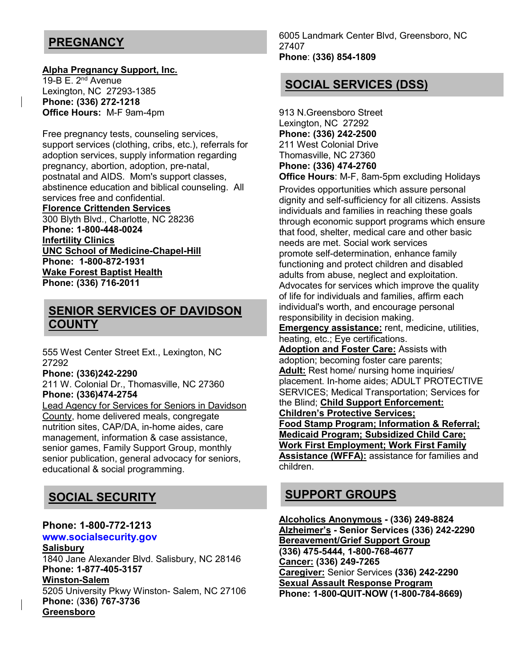## **PREGNANCY**

#### **Alpha Pregnancy Support, Inc.**

19-B E.  $2^{nd}$  Avenue Lexington, NC 27293-1385 **Phone: (336) 272-1218 Office Hours:** M-F 9am-4pm

Free pregnancy tests, counseling services, support services (clothing, cribs, etc.), referrals for adoption services, supply information regarding pregnancy, abortion, adoption, pre-natal, postnatal and AIDS. Mom's support classes, abstinence education and biblical counseling. All services free and confidential.

**Florence Crittenden Services** 300 Blyth Blvd., Charlotte, NC 28236 **Phone: 1-800-448-0024 Infertility Clinics UNC School of Medicine-Chapel-Hill Phone: 1-800-872-1931 Wake Forest Baptist Health Phone: (336) 716-2011**

## **SENIOR SERVICES OF DAVIDSON COUNTY**

555 West Center Street Ext., Lexington, NC 27292

**Phone: (336)242-2290**

211 W. Colonial Dr., Thomasville, NC 27360 **Phone: (336)474-2754**

Lead Agency for Services for Seniors in Davidson County, home delivered meals, congregate nutrition sites, CAP/DA, in-home aides, care management, information & case assistance, senior games, Family Support Group, monthly senior publication, general advocacy for seniors, educational & social programming.

## **SOCIAL SECURITY**

### **Phone: 1-800-772-1213**

### **www.socialsecurity.gov**

**Salisbury** 1840 Jane Alexander Blvd. Salisbury, NC 28146 **Phone: 1-877-405-3157 Winston-Salem** 5205 University Pkwy Winston- Salem, NC 27106 **Phone:** (**336) 767-3736 Greensboro**

6005 Landmark Center Blvd, Greensboro, NC 27407 **Phone**: **(336) 854-1809**

## **SOCIAL SERVICES (DSS)**

913 N.Greensboro Street Lexington, NC 27292 **Phone: (336) 242-2500** 211 West Colonial Drive Thomasville, NC 27360 **Phone: (336) 474-2760 Office Hours**: M-F, 8am-5pm excluding Holidays

Provides opportunities which assure personal dignity and self-sufficiency for all citizens. Assists individuals and families in reaching these goals through economic support programs which ensure that food, shelter, medical care and other basic needs are met. Social work services promote self-determination, enhance family functioning and protect children and disabled adults from abuse, neglect and exploitation. Advocates for services which improve the quality of life for individuals and families, affirm each individual's worth, and encourage personal responsibility in decision making.

**Emergency assistance:** rent, medicine, utilities, heating, etc.; Eye certifications.

**Adoption and Foster Care:** Assists with adoption; becoming foster care parents; **Adult:** Rest home/ nursing home inquiries/ placement. In-home aides; ADULT PROTECTIVE SERVICES; Medical Transportation; Services for the Blind; **Child Support Enforcement: Children's Protective Services; Food Stamp Program; Information & Referral; Medicaid Program; Subsidized Child Care; Work First Employment; Work First Family Assistance (WFFA):** assistance for families and children.

## **SUPPORT GROUPS**

**Alcoholics Anonymous - (336) 249-8824 Alzheimer's - Senior Services (336) 242-2290 Bereavement/Grief Support Group (336) 475-5444, 1-800-768-4677 Cancer: (336) 249-7265 Caregiver:** Senior Services **(336) 242-2290 Sexual Assault Response Program Phone: 1-800-QUIT-NOW (1-800-784-8669)**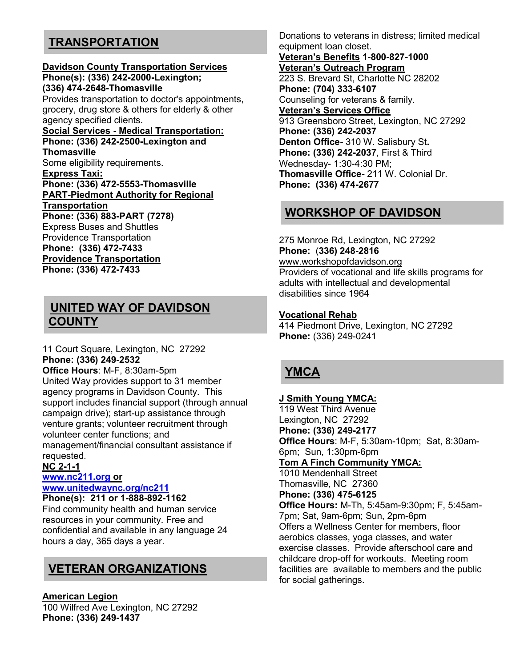## **TRANSPORTATION**

#### **Davidson County Transportation Services Phone(s): (336) 242-2000-Lexington; (336) 474-2648-Thomasville**

Provides transportation to doctor's appointments, grocery, drug store & others for elderly & other agency specified clients.

**Social Services - Medical Transportation: Phone: (336) 242-2500-Lexington and Thomasville** Some eligibility requirements. **Express Taxi: Phone: (336) 472-5553-Thomasville PART-Piedmont Authority for Regional Transportation Phone: (336) 883-PART (7278)** Express Buses and Shuttles Providence Transportation **Phone: (336) 472-7433 Providence Transportation**

**Phone: (336) 472-7433**

### **UNITED WAY OF DAVIDSON COUNTY**

11 Court Square, Lexington, NC 27292 **Phone: (336) 249-2532**

**Office Hours**: M-F, 8:30am-5pm United Way provides support to 31 member agency programs in Davidson County. This support includes financial support (through annual campaign drive); start-up assistance through venture grants; volunteer recruitment through volunteer center functions; and management/financial consultant assistance if requested.

### **NC 2-1-1**

### **www.nc211.org or www.unitedwaync.org/nc211**

**Phone(s): 211 or 1-888-892-1162** Find community health and human service resources in your community. Free and confidential and available in any language 24 hours a day, 365 days a year.

## **VETERAN ORGANIZATIONS**

#### **American Legion**

100 Wilfred Ave Lexington, NC 27292 **Phone: (336) 249-1437**

Donations to veterans in distress; limited medical equipment loan closet.

**Veteran's Benefits 1**-**800-827-1000 Veteran's Outreach Program** 223 S. Brevard St, Charlotte NC 28202 **Phone: (704) 333-6107** Counseling for veterans & family. **Veteran's Services Office** 913 Greensboro Street, Lexington, NC 27292 **Phone: (336) 242-2037 Denton Office-** 310 W. Salisbury St**. Phone: (336) 242-2037**, First & Third Wednesday- 1:30-4:30 PM; **Thomasville Office-** 211 W. Colonial Dr. **Phone: (336) 474-2677** 

## **WORKSHOP OF DAVIDSON**

275 Monroe Rd, Lexington, NC 27292 **Phone:** (**336) 248-2816** www.workshopofdavidson.org Providers of vocational and life skills programs for adults with intellectual and developmental disabilities since 1964

### **Vocational Rehab**

414 Piedmont Drive, Lexington, NC 27292 **Phone:** (336) 249-0241

## **YMCA**

### **J Smith Young YMCA:** 119 West Third Avenue Lexington, NC 27292 **Phone: (336) 249-2177 Office Hours**: M-F, 5:30am-10pm; Sat, 8:30am-6pm; Sun, 1:30pm-6pm **Tom A Finch Community YMCA:** 1010 Mendenhall Street Thomasville, NC 27360 **Phone: (336) 475-6125 Office Hours:** M-Th, 5:45am-9:30pm; F, 5:45am-7pm; Sat, 9am-6pm; Sun, 2pm-6pm

Offers a Wellness Center for members, floor aerobics classes, yoga classes, and water exercise classes. Provide afterschool care and childcare drop-off for workouts. Meeting room facilities are available to members and the public for social gatherings.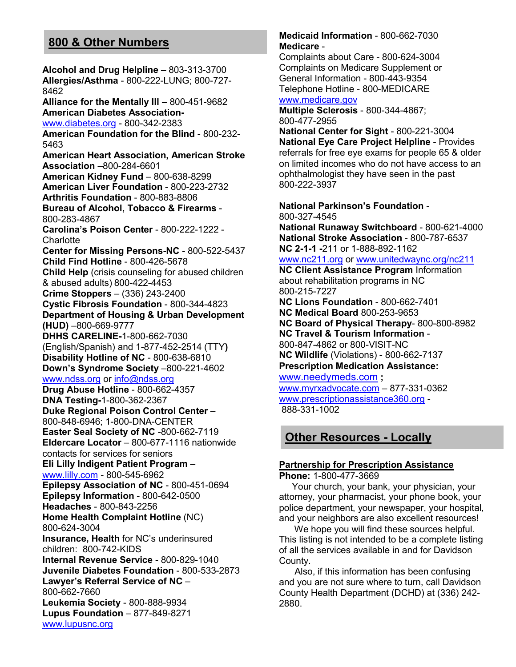## **800 & Other Numbers**

**Alcohol and Drug Helpline** – 803-313-3700 **Allergies/Asthma** - 800-222-LUNG; 800-727- 8462 **Alliance for the Mentally Ill** – 800-451-9682 **American Diabetes Association**www.diabetes.org - 800-342-2383 **American Foundation for the Blind** - 800-232- 5463 **American Heart Association, American Stroke Association** –800-284-6601 **American Kidney Fund** – 800-638-8299 **American Liver Foundation** - 800-223-2732 **Arthritis Foundation** - 800-883-8806 **Bureau of Alcohol, Tobacco & Firearms** - 800-283-4867 **Carolina's Poison Center** - 800-222-1222 - **Charlotte Center for Missing Persons-NC** - 800-522-5437 **Child Find Hotline** - 800-426-5678 **Child Help** (crisis counseling for abused children & abused adults) 800-422-4453 **Crime Stoppers** – (336) 243-2400 **Cystic Fibrosis Foundation** - 800-344-4823 **Department of Housing & Urban Development (HUD)** –800-669-9777 **DHHS CARELINE-**1-800-662-7030 (English/Spanish) and 1-877-452-2514 (TTY**) Disability Hotline of NC** - 800-638-6810 **Down's Syndrome Society** –800-221-4602 www.ndss.org or info@ndss.org **Drug Abuse Hotline** - 800-662-4357 **DNA Testing-**1-800-362-2367 **Duke Regional Poison Control Center** – 800-848-6946; 1-800-DNA-CENTER **Easter Seal Society of NC** -800-662-7119 **Eldercare Locator** – 800-677-1116 nationwide contacts for services for seniors **Eli Lilly Indigent Patient Program** – www.lilly.com - 800-545-6962 **Epilepsy Association of NC** - 800-451-0694 **Epilepsy Information** - 800-642-0500 **Headaches** - 800-843-2256 **Home Health Complaint Hotline** (NC) 800-624-3004 **Insurance, Health** for NC's underinsured children: 800-742-KIDS **Internal Revenue Service** - 800-829-1040 **Juvenile Diabetes Foundation** - 800-533-2873 **Lawyer's Referral Service of NC** – 800-662-7660 **Leukemia Society** - 800-888-9934 **Lupus Foundation** – 877-849-8271 www.lupusnc.org

### **Medicaid Information** - 800-662-7030 **Medicare** -

Complaints about Care - 800-624-3004 Complaints on Medicare Supplement or General Information - 800-443-9354 Telephone Hotline - 800-MEDICARE www.medicare.gov

**Multiple Sclerosis** - 800-344-4867; 800-477-2955

**National Center for Sight** - 800-221-3004 **National Eye Care Project Helpline** - Provides referrals for free eye exams for people 65 & older on limited incomes who do not have access to an ophthalmologist they have seen in the past 800-222-3937

**National Parkinson's Foundation** - 800-327-4545 **National Runaway Switchboard** - 800-621-4000 **National Stroke Association** - 800-787-6537 **NC 2-1-1 -**211 or 1-888-892-1162 www.nc211.org or www.unitedwaync.org/nc211 **NC Client Assistance Program** Information about rehabilitation programs in NC 800-215-7227 **NC Lions Foundation** - 800-662-7401 **NC Medical Board** 800-253-9653 **NC Board of Physical Therapy**- 800-800-8982 **NC Travel & Tourism Information** - 800-847-4862 or 800-VISIT-NC **NC Wildlife** (Violations) - 800-662-7137 **Prescription Medication Assistance:** www.needymeds.com **;**  www.myrxadvocate.com – 877-331-0362 www.prescriptionassistance360.org - 888-331-1002

## **Other Resources - Locally**

## **Partnership for Prescription Assistance**

**Phone:** 1-800-477-3669

 Your church, your bank, your physician, your attorney, your pharmacist, your phone book, your police department, your newspaper, your hospital, and your neighbors are also excellent resources!

 We hope you will find these sources helpful. This listing is not intended to be a complete listing of all the services available in and for Davidson County.

 Also, if this information has been confusing and you are not sure where to turn, call Davidson County Health Department (DCHD) at (336) 242- 2880.